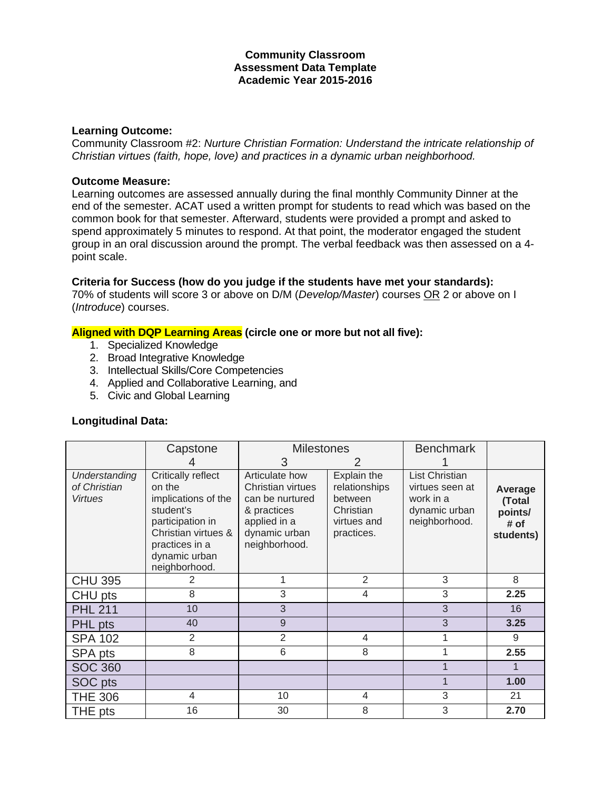### **Community Classroom Assessment Data Template Academic Year 2015-2016**

### **Learning Outcome:**

Community Classroom #2: *Nurture Christian Formation: Understand the intricate relationship of Christian virtues (faith, hope, love) and practices in a dynamic urban neighborhood.*

# **Outcome Measure:**

Learning outcomes are assessed annually during the final monthly Community Dinner at the end of the semester. ACAT used a written prompt for students to read which was based on the common book for that semester. Afterward, students were provided a prompt and asked to spend approximately 5 minutes to respond. At that point, the moderator engaged the student group in an oral discussion around the prompt. The verbal feedback was then assessed on a 4 point scale.

### **Criteria for Success (how do you judge if the students have met your standards):**

70% of students will score 3 or above on D/M (*Develop/Master*) courses OR 2 or above on I (*Introduce*) courses.

## **Aligned with DQP Learning Areas (circle one or more but not all five):**

- 1. Specialized Knowledge
- 2. Broad Integrative Knowledge
- 3. Intellectual Skills/Core Competencies
- 4. Applied and Collaborative Learning, and
- 5. Civic and Global Learning

### **Longitudinal Data:**

|                                                 | Capstone                                                                                                                                                        | <b>Milestones</b>                                                                                                              |                                                                                   | <b>Benchmark</b>                                                                        |                                                   |
|-------------------------------------------------|-----------------------------------------------------------------------------------------------------------------------------------------------------------------|--------------------------------------------------------------------------------------------------------------------------------|-----------------------------------------------------------------------------------|-----------------------------------------------------------------------------------------|---------------------------------------------------|
|                                                 |                                                                                                                                                                 | 3                                                                                                                              |                                                                                   |                                                                                         |                                                   |
| Understanding<br>of Christian<br><b>Virtues</b> | Critically reflect<br>on the<br>implications of the<br>student's<br>participation in<br>Christian virtues &<br>practices in a<br>dynamic urban<br>neighborhood. | Articulate how<br><b>Christian virtues</b><br>can be nurtured<br>& practices<br>applied in a<br>dynamic urban<br>neighborhood. | Explain the<br>relationships<br>between<br>Christian<br>virtues and<br>practices. | <b>List Christian</b><br>virtues seen at<br>work in a<br>dynamic urban<br>neighborhood. | Average<br>(Total<br>points/<br># of<br>students) |
| <b>CHU 395</b>                                  | 2                                                                                                                                                               |                                                                                                                                | $\overline{2}$                                                                    | 3                                                                                       | 8                                                 |
| CHU pts                                         | 8                                                                                                                                                               | 3                                                                                                                              | 4                                                                                 | 3                                                                                       | 2.25                                              |
| <b>PHL 211</b>                                  | 10                                                                                                                                                              | 3                                                                                                                              |                                                                                   | 3                                                                                       | 16                                                |
| PHL pts                                         | 40                                                                                                                                                              | 9                                                                                                                              |                                                                                   | 3                                                                                       | 3.25                                              |
| <b>SPA 102</b>                                  | $\overline{2}$                                                                                                                                                  | $\overline{2}$                                                                                                                 | 4                                                                                 |                                                                                         | 9                                                 |
| SPA pts                                         | 8                                                                                                                                                               | 6                                                                                                                              | 8                                                                                 |                                                                                         | 2.55                                              |
| <b>SOC 360</b>                                  |                                                                                                                                                                 |                                                                                                                                |                                                                                   |                                                                                         |                                                   |
| SOC pts                                         |                                                                                                                                                                 |                                                                                                                                |                                                                                   |                                                                                         | 1.00                                              |
| <b>THE 306</b>                                  | 4                                                                                                                                                               | 10                                                                                                                             | 4                                                                                 | 3                                                                                       | 21                                                |
| THE pts                                         | 16                                                                                                                                                              | 30                                                                                                                             | 8                                                                                 | 3                                                                                       | 2.70                                              |